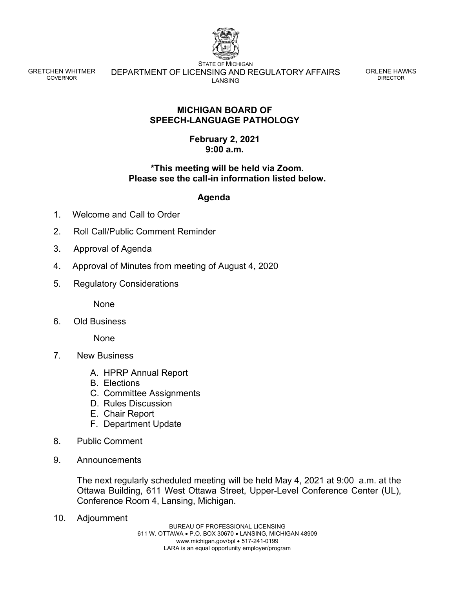

GRETCHEN WHITMER GOVERNOR

STATE OF MICHIGAN DEPARTMENT OF LICENSING AND REGULATORY AFFAIRS LANSING

ORLENE HAWKS DIRECTOR

### **MICHIGAN BOARD OF SPEECH-LANGUAGE PATHOLOGY**

### **February 2, 2021 9:00 a.m.**

# **\*This meeting will be held via Zoom. Please see the call-in information listed below.**

#### **Agenda**

- 1. Welcome and Call to Order
- 2. Roll Call/Public Comment Reminder
- 3. Approval of Agenda
- 4. Approval of Minutes from meeting of August 4, 2020
- 5*.* Regulatory Considerations

None

6. Old Business

None

- 7*.* New Business
	- A. HPRP Annual Report
	- B. Elections
	- C. Committee Assignments
	- D. Rules Discussion
	- E. Chair Report
	- F. Department Update
- 8. Public Comment
- 9. Announcements

The next regularly scheduled meeting will be held May 4, 2021 at 9:00. a.m. at the Ottawa Building, 611 West Ottawa Street, Upper-Level Conference Center (UL), Conference Room 4, Lansing, Michigan.

10. Adjournment

BUREAU OF PROFESSIONAL LICENSING 611 W. OTTAWA • P.O. BOX 30670 • LANSING, MICHIGAN 48909 www.michigan.gov/bpl • 517-241-0199 LARA is an equal opportunity employer/program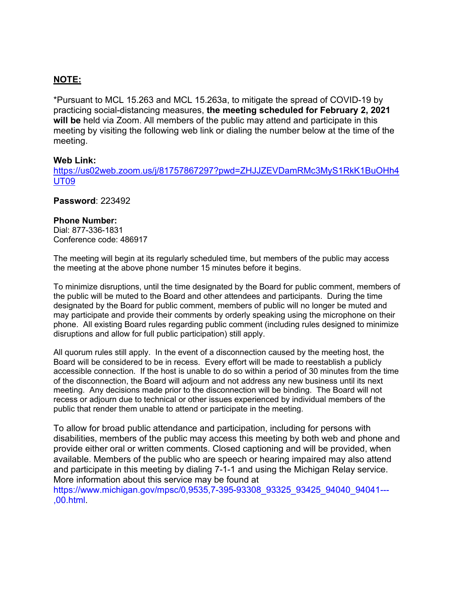# **NOTE:**

\*Pursuant to MCL 15.263 and MCL 15.263a, to mitigate the spread of COVID-19 by practicing social-distancing measures, **the meeting scheduled for February 2, 2021 will be** held via Zoom. All members of the public may attend and participate in this meeting by visiting the following web link or dialing the number below at the time of the meeting.

#### **Web Link:**

[https://us02web.zoom.us/j/81757867297?pwd=ZHJJZEVDamRMc3MyS1RkK1BuOHh4](https://us02web.zoom.us/j/81757867297?pwd=ZHJJZEVDamRMc3MyS1RkK1BuOHh4UT09) [UT09](https://us02web.zoom.us/j/81757867297?pwd=ZHJJZEVDamRMc3MyS1RkK1BuOHh4UT09)

#### **Password**: 223492

#### **Phone Number:**

Dial: 877-336-1831 Conference code: 486917

The meeting will begin at its regularly scheduled time, but members of the public may access the meeting at the above phone number 15 minutes before it begins.

To minimize disruptions, until the time designated by the Board for public comment, members of the public will be muted to the Board and other attendees and participants. During the time designated by the Board for public comment, members of public will no longer be muted and may participate and provide their comments by orderly speaking using the microphone on their phone. All existing Board rules regarding public comment (including rules designed to minimize disruptions and allow for full public participation) still apply.

All quorum rules still apply. In the event of a disconnection caused by the meeting host, the Board will be considered to be in recess. Every effort will be made to reestablish a publicly accessible connection. If the host is unable to do so within a period of 30 minutes from the time of the disconnection, the Board will adjourn and not address any new business until its next meeting. Any decisions made prior to the disconnection will be binding. The Board will not recess or adjourn due to technical or other issues experienced by individual members of the public that render them unable to attend or participate in the meeting.

To allow for broad public attendance and participation, including for persons with disabilities, members of the public may access this meeting by both web and phone and provide either oral or written comments. Closed captioning and will be provided, when available. Members of the public who are speech or hearing impaired may also attend and participate in this meeting by dialing 7-1-1 and using the Michigan Relay service. More information about this service may be found at

https://www.michigan.gov/mpsc/0,9535,7-395-93308\_93325\_93425\_94040\_94041---,00.html.